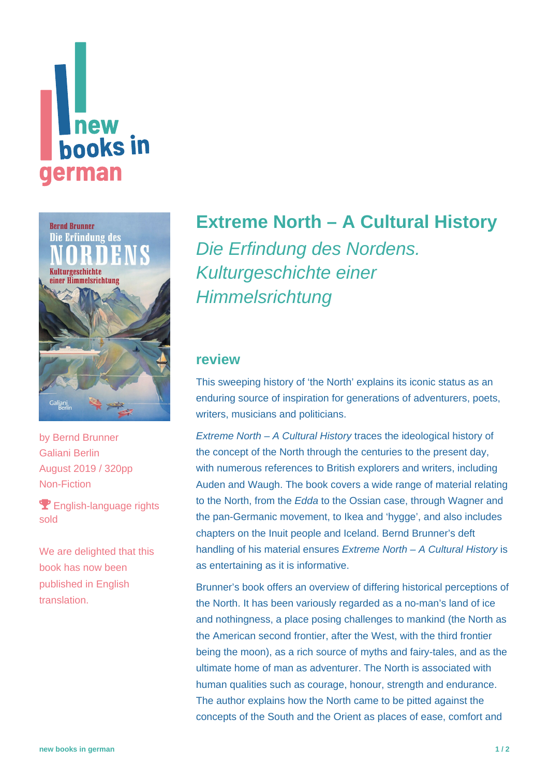



by [Bernd Brunner](https://www.new-books-in-german.com/recommendations/?searchInput=Bernd%20Brunner) Galiani Berlin August 2019 / 320pp Non-Fiction

**P** English-language rights sold

We are delighted that this book has now been published in English translation.

## **[Extreme North – A Cultural History](https://www.new-books-in-german.com/recommendations/extreme-north/)**

Die Erfindung des Nordens. Kulturgeschichte einer **Himmelsrichtung** 

## **review**

This sweeping history of 'the North' explains its iconic status as an enduring source of inspiration for generations of adventurers, poets, writers, musicians and politicians.

Extreme North – A Cultural History traces the ideological history of the concept of the North through the centuries to the present day, with numerous references to British explorers and writers, including Auden and Waugh. The book covers a wide range of material relating to the North, from the Edda to the Ossian case, through Wagner and the pan-Germanic movement, to Ikea and 'hygge', and also includes chapters on the Inuit people and Iceland. Bernd Brunner's deft handling of his material ensures Extreme North - A Cultural History is as entertaining as it is informative.

Brunner's book offers an overview of differing historical perceptions of the North. It has been variously regarded as a no-man's land of ice and nothingness, a place posing challenges to mankind (the North as the American second frontier, after the West, with the third frontier being the moon), as a rich source of myths and fairy-tales, and as the ultimate home of man as adventurer. The North is associated with human qualities such as courage, honour, strength and endurance. The author explains how the North came to be pitted against the concepts of the South and the Orient as places of ease, comfort and